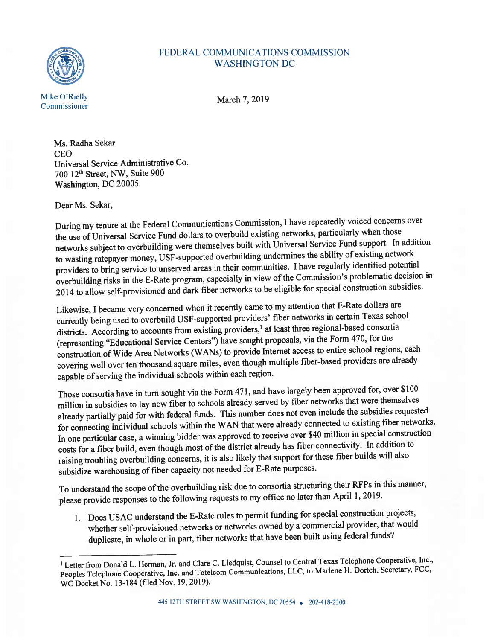

## FEDERAL COMMUNiCATIONS COMMISSION WASHINGTON DC

Ms. Radha Sekar CEO Universal Service Administrative Co. 700 12<sup>th</sup> Street, NW, Suite 900 Washington, DC 20005

Dear Ms. Sekar,

During my tenure at the federal Communications Commission, <sup>I</sup> have repeatedly voiced concerns over the use of Universal Service Fund dollars to overbuild existing networks, particularly when those networks subject to overbuilding were themselves built with Universal Service Fund support. In addition to wasting ratepayer money, USF-supported overbuilding undermines the ability of existing network providers to bring service to unserved areas in their communities. <sup>I</sup> have regularly identified potential overbuilding risks in the E-Rate program, especially in view ofthe Commission's problematic decision in <sup>2014</sup> to allow self-provisioned and dark fiber networks to be eligible for special construction subsidies.

Likewise, <sup>I</sup> became very concerned when it recently came to my attention that F-Rate dollars are currently being used to overbuild USF-supported providers' fiber networks in certain Texas school districts. According to accounts from existing providers,<sup>1</sup> at least three regional-based consortia (representing "Educational Service Centers") have sought proposals, via the form 470, for the construction of Wide Area Networks (WANs) to provide Internet access to entire school regions, each covering well over ten thousand square miles, even though multiple fiber-based providers are already capable of serving the individual schools within each region.

Those consortia have in turn sought via the Form 471, and have largely been approve<sup>d</sup> for, over \$100 million in subsidies to lay new fiber to schools already served by fiber networks that were themselves already partially paid for with federal funds. This number does not even include the subsidies requested for connecting individual schools within the WAN that were already connected to existing fiber networks. In one particular case, <sup>a</sup> winning bidder was approve<sup>d</sup> to receive over \$40 million in special construction costs for a fiber build, even though most of the district already has fiber connectivity. In addition to raising troubling overbuilding concerns, it is also likely that suppor<sup>t</sup> for these fiber builds will also subsidize warehousing of fiber capacity not needed for E-Rate purposes.

To understand the scope of the overbuilding risk due to consortia structuring their RFPs in this manner, <sup>p</sup>lease provide responses to the following requests to my office no later than April 1, 2019.

1. Does USAC understand the F-Rate rules to permit funding for special construction projects, whether self-provisioned networks or networks owned by <sup>a</sup> commercial provider, that would duplicate, in whole or in part, fiber networks that have been built using federal funds?

<sup>&</sup>lt;sup>1</sup> Letter from Donald L. Herman, Jr. and Clare C. Liedquist, Counsel to Central Texas Telephone Cooperative, Inc., Peoples Telephone Cooperative, Inc. and Totelcom Communications, LLC, to Marlene H. Dortch, Secretary, FCC, WC Docket No. 13-184 (filed Nov. 19, 2019).